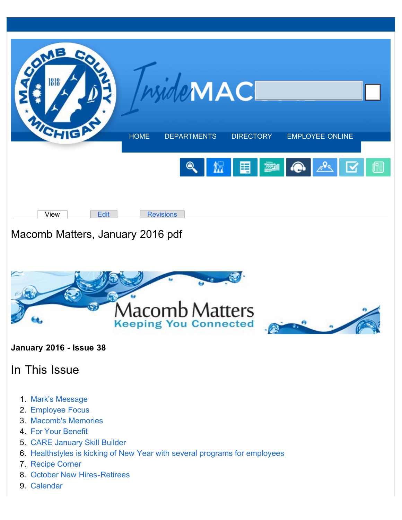<span id="page-0-0"></span>



### **January 2016 - Issue 38**

# In This Issue

- 1. [Mark's Message](#page-1-0)
- 2. [Employee Focus](#page-2-0)
- 3. [Macomb's Memories](#page-3-0)
- 4. [For Your Benefit](#page-5-0)
- 5. [CARE January Skill Builder](#page-5-1)
- 6. [Healthstyles is kicking of New Year with several programs for employees](#page-6-0)
- 7. [Recipe Corner](#page-7-0)
- 8. [October New Hires-Retirees](http://media.macombgov.org/sites/default/files/content/pdfs/macombmatters/New%20hires.pdf)
- 9. [Calendar](http://media.macombgov.org/sites/default/files/content/pdfs/macombmatters/calendar.pdf)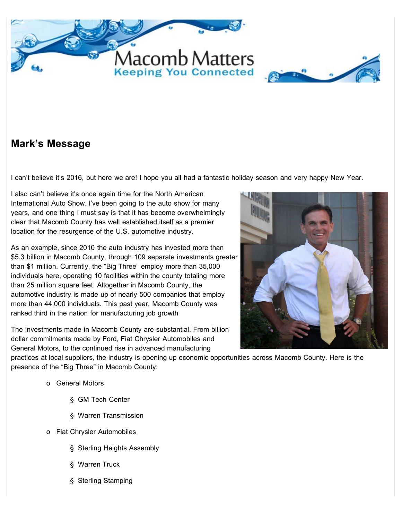<span id="page-1-0"></span>



## **Mark's Message**

I can't believe it's 2016, but here we are! I hope you all had a fantastic holiday season and very happy New Year.

I also can't believe it's once again time for the North American International Auto Show. I've been going to the auto show for many years, and one thing I must say is that it has become overwhelmingly clear that Macomb County has well established itself as a premier location for the resurgence of the U.S. automotive industry.

As an example, since 2010 the auto industry has invested more than \$5.3 billion in Macomb County, through 109 separate investments greater than \$1 million. Currently, the "Big Three" employ more than 35,000 individuals here, operating 10 facilities within the county totaling more than 25 million square feet. Altogether in Macomb County, the automotive industry is made up of nearly 500 companies that employ more than 44,000 individuals. This past year, Macomb County was ranked third in the nation for manufacturing job growth

The investments made in Macomb County are substantial. From billion dollar commitments made by Ford, Fiat Chrysler Automobiles and General Motors, to the continued rise in advanced manufacturing



practices at local suppliers, the industry is opening up economic opportunities across Macomb County. Here is the presence of the "Big Three" in Macomb County:

- o General Motors
	- § GM Tech Center
	- § Warren Transmission
- o Fiat Chrysler Automobiles
	- § Sterling Heights Assembly
	- § Warren Truck
	- § Sterling Stamping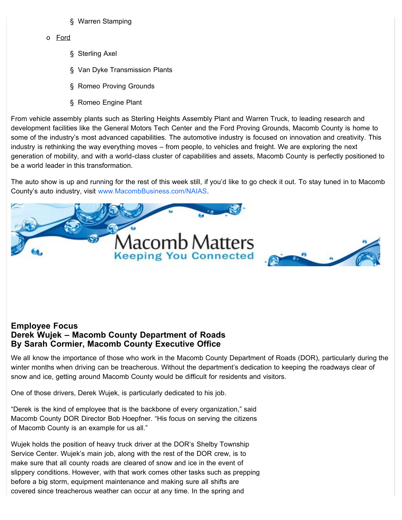- § Warren Stamping
- <span id="page-2-0"></span>o Ford
	- § Sterling Axel
	- § Van Dyke Transmission Plants
	- § Romeo Proving Grounds
	- § Romeo Engine Plant

From vehicle assembly plants such as Sterling Heights Assembly Plant and Warren Truck, to leading research and development facilities like the General Motors Tech Center and the Ford Proving Grounds, Macomb County is home to some of the industry's most advanced capabilities. The automotive industry is focused on innovation and creativity. This industry is rethinking the way everything moves – from people, to vehicles and freight. We are exploring the next generation of mobility, and with a world-class cluster of capabilities and assets, Macomb County is perfectly positioned to be a world leader in this transformation.

The auto show is up and running for the rest of this week still, if you'd like to go check it out. To stay tuned in to Macomb County's auto industry, visit [www.MacombBusiness.com/NAIAS.](http://www.macombbusiness.com/NAIAS)





### **Employee Focus Derek Wujek – Macomb County Department of Roads By Sarah Cormier, Macomb County Executive Office**

We all know the importance of those who work in the Macomb County Department of Roads (DOR), particularly during the winter months when driving can be treacherous. Without the department's dedication to keeping the roadways clear of snow and ice, getting around Macomb County would be difficult for residents and visitors.

One of those drivers, Derek Wujek, is particularly dedicated to his job.

"Derek is the kind of employee that is the backbone of every organization," said Macomb County DOR Director Bob Hoepfner. "His focus on serving the citizens of Macomb County is an example for us all."

Wujek holds the position of heavy truck driver at the DOR's Shelby Township Service Center. Wujek's main job, along with the rest of the DOR crew, is to make sure that all county roads are cleared of snow and ice in the event of slippery conditions. However, with that work comes other tasks such as prepping before a big storm, equipment maintenance and making sure all shifts are covered since treacherous weather can occur at any time. In the spring and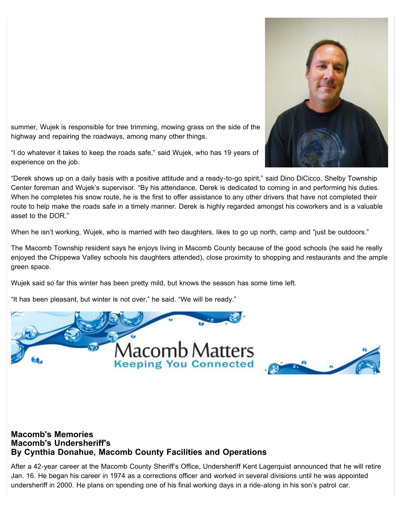

<span id="page-3-0"></span>summer, Wujek is responsible for tree trimming, mowing grass on the side of the highway and repairing the roadways, among many other things.

"I do whatever it takes to keep the roads safe," said Wujek, who has 19 years of experience on the job.

"Derek shows up on a daily basis with a positive attitude and a ready-to-go spirit," said Dino DiCicco, Shelby Township Center foreman and Wujek's supervisor. "By his attendance, Derek is dedicated to coming in and performing his duties. When he completes his snow route, he is the first to offer assistance to any other drivers that have not completed their route to help make the roads safe in a timely manner. Derek is highly regarded amongst his coworkers and is a valuable asset to the DOR."

When he isn't working, Wujek, who is married with two daughters, likes to go up north, camp and "just be outdoors."

The Macomb Township resident says he enjoys living in Macomb County because of the good schools (he said he really enjoyed the Chippewa Valley schools his daughters attended), close proximity to shopping and restaurants and the ample green space.

Wujek said so far this winter has been pretty mild, but knows the season has some time left.

"It has been pleasant, but winter is not over," he said. "We will be ready."



### **Macomb's Memories Macomb's Undersheriff's By Cynthia Donahue, Macomb County Facilities and Operations**

After a 42-year career at the Macomb County Sheriff's Office, Undersheriff Kent Lagerquist announced that he will retire Jan. 16. He began his career in 1974 as a corrections officer and worked in several divisions until he was appointed undersheriff in 2000. He plans on spending one of his final working days in a ride-along in his son's patrol car.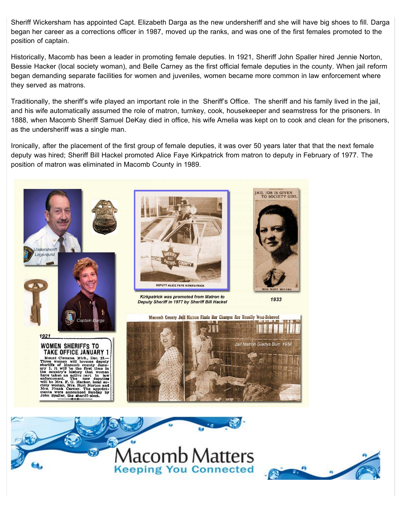Sheriff Wickersham has appointed Capt. Elizabeth Darga as the new undersheriff and she will have big shoes to fill. Darga began her career as a corrections officer in 1987, moved up the ranks, and was one of the first females promoted to the position of captain.

Historically, Macomb has been a leader in promoting female deputies. In 1921, Sheriff John Spaller hired Jennie Norton, Bessie Hacker (local society woman), and Belle Carney as the first official female deputies in the county. When jail reform began demanding separate facilities for women and juveniles, women became more common in law enforcement where they served as matrons.

Traditionally, the sheriff's wife played an important role in the Sheriff's Office. The sheriff and his family lived in the jail, and his wife automatically assumed the role of matron, turnkey, cook, housekeeper and seamstress for the prisoners. In 1888, when Macomb Sheriff Samuel DeKay died in office, his wife Amelia was kept on to cook and clean for the prisoners, as the undersheriff was a single man.

Ironically, after the placement of the first group of female deputies, it was over 50 years later that that the next female deputy was hired; Sheriff Bill Hackel promoted Alice Faye Kirkpatrick from matron to deputy in February of 1977. The position of matron was eliminated in Macomb County in 1989.





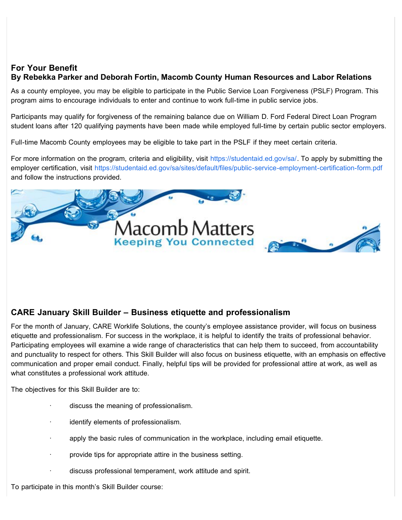### <span id="page-5-1"></span><span id="page-5-0"></span>**For Your Benefit By Rebekka Parker and Deborah Fortin, Macomb County Human Resources and Labor Relations**

As a county employee, you may be eligible to participate in the Public Service Loan Forgiveness (PSLF) Program. This program aims to encourage individuals to enter and continue to work full-time in public service jobs.

Participants may qualify for forgiveness of the remaining balance due on William D. Ford Federal Direct Loan Program student loans after 120 qualifying payments have been made while employed full-time by certain public sector employers.

Full-time Macomb County employees may be eligible to take part in the PSLF if they meet certain criteria.

For more information on the program, criteria and eligibility, visit [https://studentaid.ed.gov/sa/.](https://studentaid.ed.gov/sa/) To apply by submitting the employer certification, visit<https://studentaid.ed.gov/sa/sites/default/files/public-service-employment-certification-form.pdf> and follow the instructions provided.





### **CARE January Skill Builder – Business etiquette and professionalism**

For the month of January, CARE Worklife Solutions, the county's employee assistance provider, will focus on business etiquette and professionalism. For success in the workplace, it is helpful to identify the traits of professional behavior. Participating employees will examine a wide range of characteristics that can help them to succeed, from accountability and punctuality to respect for others. This Skill Builder will also focus on business etiquette, with an emphasis on effective communication and proper email conduct. Finally, helpful tips will be provided for professional attire at work, as well as what constitutes a professional work attitude.

The objectives for this Skill Builder are to:

- discuss the meaning of professionalism.
- identify elements of professionalism.
- apply the basic rules of communication in the workplace, including email etiquette.
- provide tips for appropriate attire in the business setting.
- discuss professional temperament, work attitude and spirit.

To participate in this month's Skill Builder course: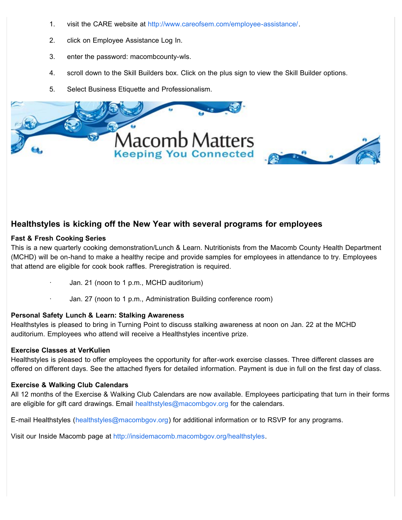- <span id="page-6-0"></span>1. visit the CARE website at [http://www.careofsem.com/employee-assistance/.](http://www.careofsem.com/employee-assistance/)
- 2. click on Employee Assistance Log In.
- 3. enter the password: macombcounty-wls.
- 4. scroll down to the Skill Builders box. Click on the plus sign to view the Skill Builder options.
- 5. Select Business Etiquette and Professionalism.





### **Healthstyles is kicking off the New Year with several programs for employees**

#### **Fast & Fresh Cooking Series**

This is a new quarterly cooking demonstration/Lunch & Learn. Nutritionists from the Macomb County Health Department (MCHD) will be on-hand to make a healthy recipe and provide samples for employees in attendance to try. Employees that attend are eligible for cook book raffles. Preregistration is required.

- Jan. 21 (noon to 1 p.m., MCHD auditorium)
- Jan. 27 (noon to 1 p.m., Administration Building conference room)

#### **Personal Safety Lunch & Learn: Stalking Awareness**

Healthstyles is pleased to bring in Turning Point to discuss stalking awareness at noon on Jan. 22 at the MCHD auditorium. Employees who attend will receive a Healthstyles incentive prize.

#### **Exercise Classes at VerKulien**

Healthstyles is pleased to offer employees the opportunity for after-work exercise classes. Three different classes are offered on different days. See the attached flyers for detailed information. Payment is due in full on the first day of class.

#### **Exercise & Walking Club Calendars**

All 12 months of the Exercise & Walking Club Calendars are now available. Employees participating that turn in their forms are eligible for gift card drawings. Email [healthstyles@macombgov.org](mailto:healthstyles@macombgov.org) for the calendars.

E-mail Healthstyles ([healthstyles@macombgov.org\)](mailto:healthstyles@macombgov.org) for additional information or to RSVP for any programs.

Visit our Inside Macomb page at [http://insidemacomb.macombgov.org/healthstyles.](http://insidemacomb.macombgov.org/healthstyles)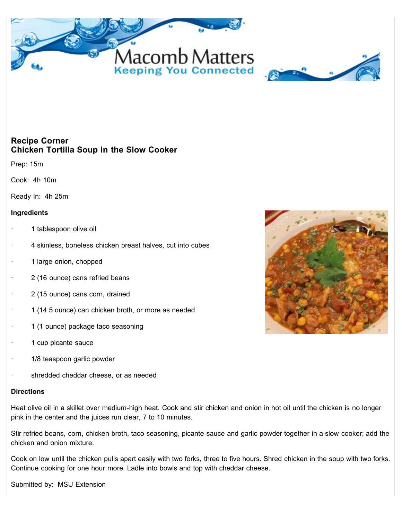<span id="page-7-0"></span>



### **Recipe Corner Chicken Tortilla Soup in the Slow Cooker**

Prep: 15m

Cook: 4h 10m

Ready In: 4h 25m

#### **Ingredients**

- 1 tablespoon olive oil
- 4 skinless, boneless chicken breast halves, cut into cubes
- 1 large onion, chopped
- 2 (16 ounce) cans refried beans
- 2 (15 ounce) cans corn, drained
- · 1 (14.5 ounce) can chicken broth, or more as needed
- 1 (1 ounce) package taco seasoning
- 1 cup picante sauce
- 1/8 teaspoon garlic powder
- shredded cheddar cheese, or as needed

#### **Directions**

Heat olive oil in a skillet over medium-high heat. Cook and stir chicken and onion in hot oil until the chicken is no longer pink in the center and the juices run clear, 7 to 10 minutes.

Stir refried beans, corn, chicken broth, taco seasoning, picante sauce and garlic powder together in a slow cooker; add the chicken and onion mixture.

Cook on low until the chicken pulls apart easily with two forks, three to five hours. Shred chicken in the soup with two forks. Continue cooking for one hour more. Ladle into bowls and top with cheddar cheese.

Submitted by: MSU Extension